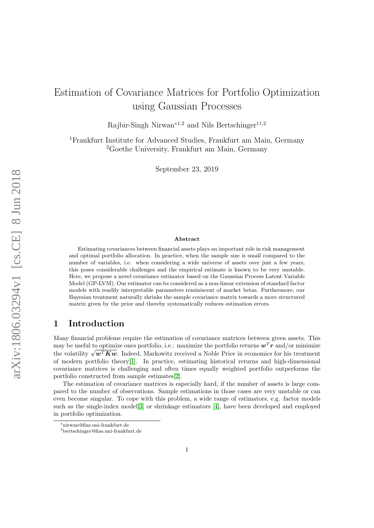# Estimation of Covariance Matrices for Portfolio Optimization using Gaussian Processes

Rajbir-Singh Nirwan<sup>∗1,2</sup> and Nils Bertschinger<sup>†1,2</sup>

<sup>1</sup>Frankfurt Institute for Advanced Studies, Frankfurt am Main, Germany <sup>2</sup>Goethe University, Frankfurt am Main, Germany

September 23, 2019

#### Abstract

Estimating covariances between financial assets plays an important role in risk management and optimal portfolio allocation. In practice, when the sample size is small compared to the number of variables, i.e. when considering a wide universe of assets over just a few years, this poses considerable challenges and the empirical estimate is known to be very unstable. Here, we propose a novel covariance estimator based on the Gaussian Process Latent Variable Model (GP-LVM). Our estimator can be considered as a non-linear extension of standard factor models with readily interpretable parameters reminiscent of market betas. Furthermore, our Bayesian treatment naturally shrinks the sample covariance matrix towards a more structured matrix given by the prior and thereby systematically reduces estimation errors.

## 1 Introduction

Many financial problems require the estimation of covariance matrices between given assets. This may be useful to optimize ones portfolio, i.e.: maximize the portfolio returns  $w^T r$  and/or minimize the volatility  $\sqrt{\boldsymbol{w}^T\boldsymbol{K}\boldsymbol{w}}$ . Indeed, Markowitz received a Noble Price in economics for his treatment of modern portfolio theory[\[1\]](#page-12-0). In practice, estimating historical returns and high-dimensional covariance matrices is challenging and often times equally weighted portfolio outperforms the portfolio constructed from sample estimates[\[2\]](#page-12-1).

The estimation of covariance matrices is especially hard, if the number of assets is large compared to the number of observations. Sample estimations in those cases are very unstable or can even become singular. To cope with this problem, a wide range of estimators, e.g. factor models such as the single-index model[\[3\]](#page-12-2) or shrinkage estimators [\[4\]](#page-12-3), have been developed and employed in portfolio optimization.

<sup>∗</sup>nirwan@fias.uni-frankfurt.de

<sup>†</sup>bertschinger@fias.uni-frankfurt.de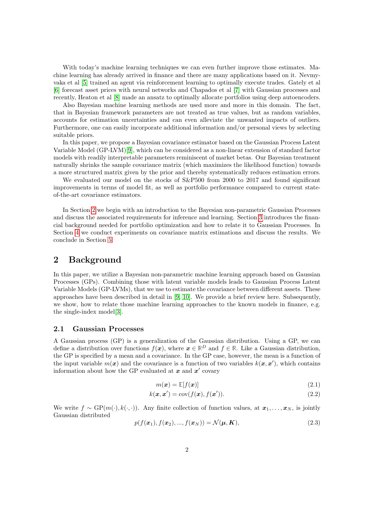With today's machine learning techniques we can even further improve those estimates. Machine learning has already arrived in finance and there are many applications based on it. Nevmyvaka et al [\[5\]](#page-12-4) trained an agent via reinforcement learning to optimally execute trades. Gately et al [\[6\]](#page-12-5) forecast asset prices with neural networks and Chapados et al [\[7\]](#page-12-6) with Gaussian processes and recently, Heaton et al [\[8\]](#page-12-7) made an ansatz to optimally allocate portfolios using deep autoencoders.

Also Bayesian machine learning methods are used more and more in this domain. The fact, that in Bayesian framework parameters are not treated as true values, but as random variables, accounts for estimation uncertainties and can even alleviate the unwanted impacts of outliers. Furthermore, one can easily incorporate additional information and/or personal views by selecting suitable priors.

In this paper, we propose a Bayesian covariance estimator based on the Gaussian Process Latent Variable Model (GP-LVM)[\[9\]](#page-12-8), which can be considered as a non-linear extension of standard factor models with readily interpretable parameters reminiscent of market betas. Our Bayesian treatment naturally shrinks the sample covariance matrix (which maximizes the likelihood function) towards a more structured matrix given by the prior and thereby systematically reduces estimation errors.

We evaluated our model on the stocks of S&P500 from 2000 to 2017 and found significant improvements in terms of model fit, as well as portfolio performance compared to current stateof-the-art covariance estimators.

In Section [2](#page-1-0) we begin with an introduction to the Bayesian non-parametric Gaussian Processes and discuss the associated requirements for inference and learning. Section [3](#page-4-0) introduces the financial background needed for portfolio optimization and how to relate it to Gaussian Processes. In Section [4](#page-6-0) we conduct experiments on covariance matrix estimations and discuss the results. We conclude in Section [5.](#page-11-0)

### <span id="page-1-0"></span>2 Background

In this paper, we utilize a Bayesian non-parametric machine learning approach based on Gaussian Processes (GPs). Combining those with latent variable models leads to Gaussian Process Latent Variable Models (GP-LVMs), that we use to estimate the covariance between different assets. These approaches have been described in detail in [\[9,](#page-12-8) [10\]](#page-12-9). We provide a brief review here. Subsequently, we show, how to relate those machine learning approaches to the known models in finance, e.g. the single-index model[\[3\]](#page-12-2).

#### 2.1 Gaussian Processes

A Gaussian process (GP) is a generalization of the Gaussian distribution. Using a GP, we can define a distribution over functions  $f(x)$ , where  $x \in \mathbb{R}^D$  and  $f \in \mathbb{R}$ . Like a Gaussian distribution, the GP is specified by a mean and a covariance. In the GP case, however, the mean is a function of the input variable  $m(x)$  and the covariance is a function of two variables  $k(x, x')$ , which contains information about how the GP evaluated at  $x$  and  $x'$  covary

$$
m(\boldsymbol{x}) = \mathbb{E}[f(\boldsymbol{x})] \tag{2.1}
$$

$$
k(\mathbf{x}, \mathbf{x}') = \text{cov}(f(\mathbf{x}), f(\mathbf{x}')). \tag{2.2}
$$

We write  $f \sim GP(m(\cdot), k(\cdot, \cdot))$ . Any finite collection of function values, at  $x_1, \ldots, x_N$ , is jointly Gaussian distributed

<span id="page-1-1"></span>
$$
p(f(\mathbf{x}_1), f(\mathbf{x}_2), ..., f(\mathbf{x}_N)) = \mathcal{N}(\boldsymbol{\mu}, \boldsymbol{K}),
$$
\n(2.3)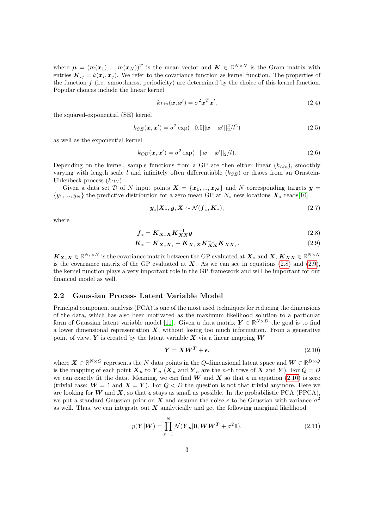where  $\mu = (m(\boldsymbol{x}_1), ..., m(\boldsymbol{x}_N))^T$  is the mean vector and  $\boldsymbol{K} \in \mathbb{R}^{N \times N}$  is the Gram matrix with entries  $\mathbf{K}_{ij} = k(\mathbf{x}_i, \mathbf{x}_j)$ . We refer to the covariance function as kernel function. The properties of the function  $f$  (i.e. smoothness, periodicity) are determined by the choice of this kernel function. Popular choices include the linear kernel

$$
k_{Lin}(\boldsymbol{x}, \boldsymbol{x}') = \sigma^2 \boldsymbol{x}^T \boldsymbol{x}',\tag{2.4}
$$

the squared-exponential (SE) kernel

$$
k_{SE}(\mathbf{x}, \mathbf{x}') = \sigma^2 \exp(-0.5||\mathbf{x} - \mathbf{x}'||_2^2/l^2)
$$
\n(2.5)

as well as the exponential kernel

$$
k_{OU}(\boldsymbol{x}, \boldsymbol{x}') = \sigma^2 \exp(-||\boldsymbol{x} - \boldsymbol{x}'||_2/l). \tag{2.6}
$$

Depending on the kernel, sample functions from a GP are then either linear  $(k_{Lin})$ , smoothly varying with length scale l and infinitely often differentiable  $(k_{SE})$  or draws from an Ornstein-Uhlenbeck process  $(k_{OU})$ .

Given a data set D of N input points  $X = \{x_1, ..., x_N\}$  and N corresponding targets  $y =$  $\{y_1, ..., y_N\}$  the predictive distribution for a zero mean GP at  $N_*$  new locations  $\mathbf{X}_*$  reads[\[10\]](#page-12-9)

<span id="page-2-1"></span><span id="page-2-0"></span>
$$
\mathbf{y}_{*}|\mathbf{X}_{*},\mathbf{y},\mathbf{X}\sim\mathcal{N}(\mathbf{f}_{*},\mathbf{K}_{*}),
$$
\n(2.7)

where

$$
\boldsymbol{f}_{*} = \boldsymbol{K}_{\boldsymbol{X}_{*}\boldsymbol{X}} \boldsymbol{K}_{\boldsymbol{X}\boldsymbol{X}}^{-1} \boldsymbol{y} \tag{2.8}
$$

$$
K_{*} = K_{X_{*}X_{*}} - K_{X_{*}X}K_{XX}^{-1}K_{XX*}. \qquad (2.9)
$$

 $\boldsymbol{K}_{\boldsymbol{X}_*\boldsymbol{X}} \in \mathbb{R}^{N_* \times N}$  is the covariance matrix between the GP evaluated at  $\boldsymbol{X}_*$  and  $\boldsymbol{X}, \boldsymbol{K}_{\boldsymbol{X}} \boldsymbol{X} \in \mathbb{R}^{N \times N}$ is the covariance matrix of the GP evaluated at  $X$ . As we can see in equations [\(2.8\)](#page-2-0) and [\(2.9\)](#page-2-1), the kernel function plays a very important role in the GP framework and will be important for our financial model as well.

#### 2.2 Gaussian Process Latent Variable Model

Principal component analysis (PCA) is one of the most used techniques for reducing the dimensions of the data, which has also been motivated as the maximum likelihood solution to a particular form of Gaussian latent variable model [\[11\]](#page-12-10). Given a data matrix  $Y \in \mathbb{R}^{N \times D}$  the goal is to find a lower dimensional representation  $X$ , without losing too much information. From a generative point of view,  $Y$  is created by the latent variable  $X$  via a linear mapping  $W$ 

<span id="page-2-2"></span>
$$
Y = XW^T + \epsilon,\tag{2.10}
$$

where  $X \in \mathbb{R}^{N \times Q}$  represents the N data points in the Q-dimensional latent space and  $W \in \mathbb{R}^{D \times Q}$ is the mapping of each point  $\mathbf{X}_n$  to  $\mathbf{Y}_n$  ( $\mathbf{X}_n$  and  $\mathbf{Y}_n$  are the n-th rows of  $\mathbf{X}$  and  $\mathbf{Y}$ ). For  $Q = D$ we can exactly fit the data. Meaning, we can find W and X so that  $\epsilon$  in equation [\(2.10\)](#page-2-2) is zero (trivial case:  $W = 1$  and  $X = Y$ ). For  $Q < D$  the question is not that trivial anymore. Here we are looking for W and X, so that  $\epsilon$  stays as small as possible. In the probabilistic PCA (PPCA), we put a standard Gaussian prior on X and assume the noise  $\epsilon$  to be Gaussian with variance  $\sigma^2$ as well. Thus, we can integrate out  $\boldsymbol{X}$  analytically and get the following marginal likelihood

<span id="page-2-3"></span>
$$
p(\boldsymbol{Y}|\boldsymbol{W}) = \prod_{n=1}^{N} \mathcal{N}(\boldsymbol{Y}_n|\mathbf{0}, \boldsymbol{W}\boldsymbol{W}^T + \sigma^2 \mathbb{1}).
$$
\n(2.11)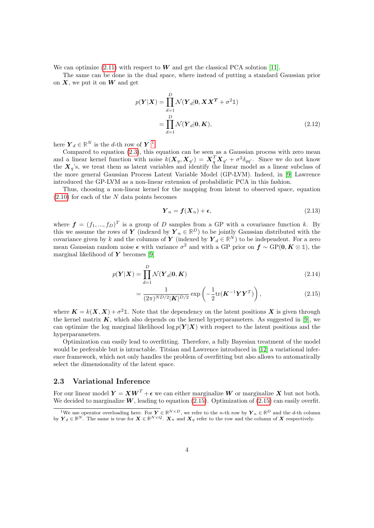We can optimize  $(2.11)$  with respect to W and get the classical PCA solution [\[11\]](#page-12-10).

The same can be done in the dual space, where instead of putting a standard Gaussian prior on  $X$ , we put it on  $W$  and get

$$
p(\boldsymbol{Y}|\boldsymbol{X}) = \prod_{d=1}^{D} \mathcal{N}(\boldsymbol{Y}_d|\mathbf{0}, \boldsymbol{X}\boldsymbol{X}^T + \sigma^2 \mathbb{1})
$$

$$
= \prod_{d=1}^{D} \mathcal{N}(\boldsymbol{Y}_d|\mathbf{0}, \boldsymbol{K}), \qquad (2.12)
$$

here  $\boldsymbol{Y}_d \in \mathbb{R}^N$  is the *d*-th row of  $\boldsymbol{Y}^{-1}$  $\boldsymbol{Y}^{-1}$  $\boldsymbol{Y}^{-1}$ .

Compared to equation [\(2.3\)](#page-1-1), this equation can be seen as a Gaussian process with zero mean and a linear kernel function with noise  $k(\bm{X}_q, \bm{X}_{q'}) = \bm{X}_q^T \bm{X}_{q'} + \sigma^2 \delta_{qq'}$ . Since we do not know the  $X_q$ 's, we treat them as latent variables and identify the linear model as a linear subclass of the more general Gaussian Process Latent Variable Model (GP-LVM). Indeed, in [\[9\]](#page-12-8) Lawrence introduced the GP-LVM as a non-linear extension of probabilistic PCA in this fashion.

Thus, choosing a non-linear kernel for the mapping from latent to observed space, equation  $(2.10)$  for each of the N data points becomes

<span id="page-3-1"></span>
$$
\boldsymbol{Y}_n = \boldsymbol{f}(\boldsymbol{X}_n) + \boldsymbol{\epsilon},\tag{2.13}
$$

where  $\boldsymbol{f} = (f_1, ..., f_D)^T$  is a group of D samples from a GP with a covariance function k. By this we assume the rows of Y (indexed by  $Y_n \in \mathbb{R}^D$ ) to be jointly Gaussian distributed with the covariance given by k and the columns of Y (indexed by  $Y_d \in \mathbb{R}^N$ ) to be independent. For a zero mean Gaussian random noise  $\epsilon$  with variance  $\sigma^2$  and with a GP prior on  $f \sim GP(0, K \otimes \mathbb{1})$ , the marginal likelihood of  $Y$  becomes [\[9\]](#page-12-8)

$$
p(\boldsymbol{Y}|\boldsymbol{X}) = \prod_{d=1}^{D} \mathcal{N}(\boldsymbol{Y}_d|\boldsymbol{0}, \boldsymbol{K})
$$
\n(2.14)

$$
=\frac{1}{(2\pi)^{ND/2}|\mathbf{K}|^{D/2}}\exp\left(-\frac{1}{2}\mathrm{tr}(\mathbf{K}^{-1}\mathbf{Y}\mathbf{Y}^{T})\right),\tag{2.15}
$$

where  $K = k(X, X) + \sigma^2 \mathbb{1}$ . Note that the dependency on the latent positions X is given through the kernel matrix  $K$ , which also depends on the kernel hyperparameters. As suggested in [\[9\]](#page-12-8), we can optimize the log marginal likelihood log  $p(Y|X)$  with respect to the latent positions and the hyperparameters.

Optimization can easily lead to overfitting. Therefore, a fully Bayesian treatment of the model would be preferable but is intractable. Titsian and Lawrence introduced in [\[12\]](#page-12-11) a variational inference framework, which not only handles the problem of overfitting but also allows to automatically select the dimensionality of the latent space.

### <span id="page-3-2"></span>2.3 Variational Inference

For our linear model  $Y = XW^{T} + \epsilon$  we can either marginalize W or marginalize X but not both. We decided to marginalize  $W$ , leading to equation [\(2.15\)](#page-3-1). Optimization of (2.15) can easily overfit.

<span id="page-3-0"></span><sup>&</sup>lt;sup>1</sup>We use operator overloading here. For  $Y \in \mathbb{R}^{N \times D}$ , we refer to the *n*-th row by  $Y_n \in \mathbb{R}^D$  and the *d*-th column by  $\boldsymbol{Y}_d \in \mathbb{R}^N$ . The same is true for  $\boldsymbol{X} \in \mathbb{R}^{N \times Q}$ .  $\boldsymbol{X}_n$  and  $\boldsymbol{X}_q$  refer to the row and the column of  $\boldsymbol{X}$  respectively.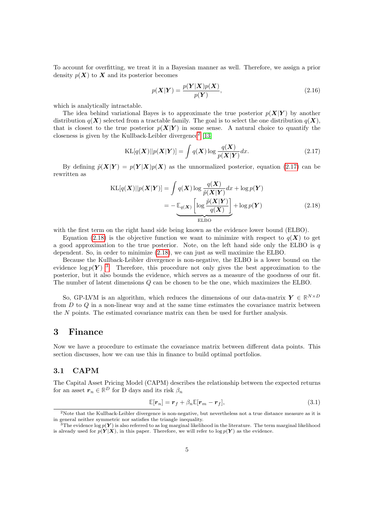To account for overfitting, we treat it in a Bayesian manner as well. Therefore, we assign a prior density  $p(X)$  to X and its posterior becomes

$$
p(\mathbf{X}|\mathbf{Y}) = \frac{p(\mathbf{Y}|\mathbf{X})p(\mathbf{X})}{p(\mathbf{Y})},
$$
\n(2.16)

which is analytically intractable.

The idea behind variational Bayes is to approximate the true posterior  $p(X|Y)$  by another distribution  $q(X)$  selected from a tractable family. The goal is to select the one distribution  $q(X)$ , that is closest to the true posterior  $p(X|Y)$  in some sense. A natural choice to quantify the closeness is given by the Kullback-Leibler divergence[2](#page-4-1) [\[13\]](#page-12-12)

<span id="page-4-3"></span><span id="page-4-2"></span>
$$
KL[q(\boldsymbol{X})||p(\boldsymbol{X}|\boldsymbol{Y})] = \int q(\boldsymbol{X}) \log \frac{q(\boldsymbol{X})}{p(\boldsymbol{X}|\boldsymbol{Y})} dx.
$$
\n(2.17)

By defining  $\tilde{p}(X|Y) = p(Y|X)p(X)$  as the unnormalized posterior, equation [\(2.17\)](#page-4-2) can be rewritten as

$$
KL[q(\boldsymbol{X})||p(\boldsymbol{X}|\boldsymbol{Y})] = \int q(\boldsymbol{X}) \log \frac{q(\boldsymbol{X})}{\tilde{p}(\boldsymbol{X}|\boldsymbol{Y})} dx + \log p(\boldsymbol{Y})
$$

$$
= -\underbrace{\mathbb{E}_{q(\boldsymbol{X})} \left[ \log \frac{\tilde{p}(\boldsymbol{X}|\boldsymbol{Y})}{q(\boldsymbol{X})} \right]}_{\text{ELBO}} + \log p(\boldsymbol{Y})
$$
(2.18)

with the first term on the right hand side being known as the evidence lower bound (ELBO).

Equation [\(2.18\)](#page-4-3) is the objective function we want to minimize with respect to  $q(X)$  to get a good approximation to the true posterior. Note, on the left hand side only the ELBO is  $q$ dependent. So, in order to minimize [\(2.18\)](#page-4-3), we can just as well maximize the ELBO.

Because the Kullback-Leibler divergence is non-negative, the ELBO is a lower bound on the evidence  $\log p(Y)^3$  $\log p(Y)^3$ . Therefore, this procedure not only gives the best approximation to the posterior, but it also bounds the evidence, which serves as a measure of the goodness of our fit. The number of latent dimensions Q can be chosen to be the one, which maximizes the ELBO.

So, GP-LVM is an algorithm, which reduces the dimensions of our data-matrix  $Y \in \mathbb{R}^{N \times D}$ from  $D$  to  $Q$  in a non-linear way and at the same time estimates the covariance matrix between the  $N$  points. The estimated covariance matrix can then be used for further analysis.

### <span id="page-4-0"></span>3 Finance

Now we have a procedure to estimate the covariance matrix between different data points. This section discusses, how we can use this in finance to build optimal portfolios.

#### 3.1 CAPM

The Capital Asset Pricing Model (CAPM) describes the relationship between the expected returns for an asset  $r_n \in \mathbb{R}^D$  for D days and its risk  $\beta_n$ 

<span id="page-4-5"></span>
$$
\mathbb{E}[\boldsymbol{r}_n] = \boldsymbol{r}_f + \beta_n \mathbb{E}[\boldsymbol{r}_m - \boldsymbol{r}_f],\tag{3.1}
$$

<span id="page-4-1"></span><sup>&</sup>lt;sup>2</sup>Note that the Kullback-Leibler divergence is non-negative, but nevertheless not a true distance measure as it is in general neither symmetric nor satisfies the triangle inequality.

<span id="page-4-4"></span> $^3$ The evidence log  $p(Y)$  is also referred to as log marginal likelihood in the literature. The term marginal likelihood is already used for  $p(Y|X)$ , in this paper. Therefore, we will refer to  $\log p(Y)$  as the evidence.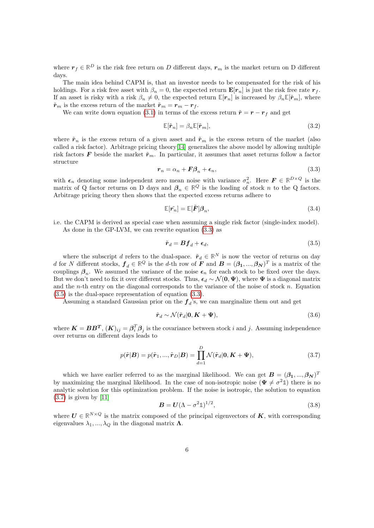where  $r_f \in \mathbb{R}^D$  is the risk free return on D different days,  $r_m$  is the market return on D different days.

The main idea behind CAPM is, that an investor needs to be compensated for the risk of his holdings. For a risk free asset with  $\beta_n = 0$ , the expected return  $\mathbf{E}[r_n]$  is just the risk free rate  $r_f$ . If an asset is risky with a risk  $\beta_n \neq 0$ , the expected return  $\mathbb{E}[r_n]$  is increased by  $\beta_n \mathbb{E}[\tilde{r}_m]$ , where  $\tilde{r}_m$  is the excess return of the market  $\tilde{r}_m = r_m - r_f$ .

We can write down equation [\(3.1\)](#page-4-5) in terms of the excess return  $\tilde{r} = r - r_f$  and get

$$
\mathbb{E}[\tilde{\boldsymbol{r}}_n] = \beta_n \mathbb{E}[\tilde{\boldsymbol{r}}_m],\tag{3.2}
$$

where  $\tilde{r}_n$  is the excess return of a given asset and  $\tilde{r}_m$  is the excess return of the market (also called a risk factor). Arbitrage pricing theory[\[14\]](#page-12-13) generalizes the above model by allowing multiple risk factors F beside the market  $\tilde{r}_m$ . In particular, it assumes that asset returns follow a factor structure

<span id="page-5-0"></span>
$$
r_n = \alpha_n + F\beta_n + \epsilon_n,\tag{3.3}
$$

with  $\epsilon_n$  denoting some independent zero mean noise with variance  $\sigma_n^2$ . Here  $\mathbf{F} \in \mathbb{R}^{D \times Q}$  is the matrix of Q factor returns on D days and  $\beta_n \in \mathbb{R}^Q$  is the loading of stock n to the Q factors. Arbitrage pricing theory then shows that the expected excess returns adhere to

$$
\mathbb{E}[\tilde{r_n}] = \mathbb{E}[\tilde{F}]\beta_n,\tag{3.4}
$$

i.e. the CAPM is derived as special case when assuming a single risk factor (single-index model). As done in the GP-LVM, we can rewrite equation [\(3.3\)](#page-5-0) as

<span id="page-5-1"></span>
$$
\tilde{\boldsymbol{r}}_d = \boldsymbol{B} \boldsymbol{f}_d + \boldsymbol{\epsilon}_d,\tag{3.5}
$$

where the subscript d refers to the dual-space.  $\tilde{r}_d \in \mathbb{R}^N$  is now the vector of returns on day d for N different stocks,  $f_d \in \mathbb{R}^Q$  is the d-th row of F and  $B = (\beta_1, ..., \beta_N)^T$  is a matrix of the couplings  $\beta_n$ . We assumed the variance of the noise  $\epsilon_n$  for each stock to be fixed over the days. But we don't need to fix it over different stocks. Thus,  $\epsilon_d \sim \mathcal{N}(\mathbf{0}, \Psi)$ , where  $\Psi$  is a diagonal matrix and the *n*-th entry on the diagonal corresponds to the variance of the noise of stock  $n$ . Equation [\(3.5\)](#page-5-1) is the dual-space representation of equation [\(3.3\)](#page-5-0).

Assuming a standard Gaussian prior on the  $f_d$ 's, we can marginalize them out and get

$$
\tilde{r}_d \sim \mathcal{N}(\tilde{r}_d | \mathbf{0}, \mathbf{K} + \boldsymbol{\Psi}),\tag{3.6}
$$

where  $\bm{K} = \bm{B}\bm{B}^T$ ,  $(\bm{K})_{ij} = \bm{\beta}_i^T \bm{\beta}_j$  is the covariance between stock i and j. Assuming independence over returns on different days leads to

<span id="page-5-2"></span>
$$
p(\tilde{\boldsymbol{r}}|\boldsymbol{B}) = p(\tilde{\boldsymbol{r}}_1, ..., \tilde{\boldsymbol{r}}_D|\boldsymbol{B}) = \prod_{d=1}^D \mathcal{N}(\tilde{\boldsymbol{r}}_d|\boldsymbol{0}, \boldsymbol{K} + \boldsymbol{\Psi}),
$$
\n(3.7)

which we have earlier referred to as the marginal likelihood. We can get  $B = (\beta_1, ..., \beta_N)^T$ by maximizing the marginal likelihood. In the case of non-isotropic noise  $(\Psi \neq \sigma^2 \mathbb{1})$  there is no analytic solution for this optimization problem. If the noise is isotropic, the solution to equation  $(3.7)$  is given by [\[11\]](#page-12-10)

$$
\mathbf{B} = \mathbf{U}(\Lambda - \sigma^2 \mathbb{1})^{1/2},\tag{3.8}
$$

where  $U \in \mathbb{R}^{N \times Q}$  is the matrix composed of the principal eigenvectors of  $K$ , with corresponding eigenvalues  $\lambda_1, ..., \lambda_Q$  in the diagonal matrix  $\Lambda$ .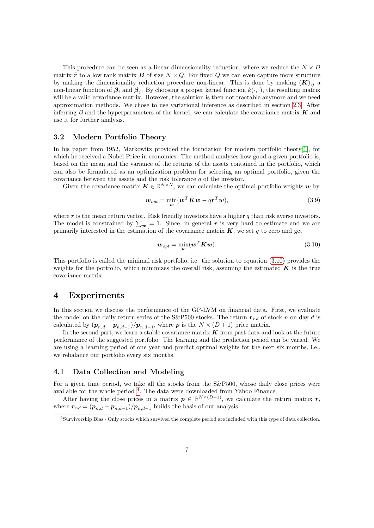This procedure can be seen as a linear dimensionality reduction, where we reduce the  $N \times D$ matrix  $\tilde{r}$  to a low rank matrix **B** of size  $N \times Q$ . For fixed Q we can even capture more structure by making the dimensionality reduction procedure non-linear. This is done by making  $(K)_{ii}$  a non-linear function of  $\beta_i$  and  $\beta_j$ . By choosing a proper kernel function  $k(\cdot, \cdot)$ , the resulting matrix will be a valid covariance matrix. However, the solution is then not tractable anymore and we need approximation methods. We chose to use variational inference as described in section [2.3.](#page-3-2) After inferring  $\beta$  and the hyperparameters of the kernel, we can calculate the covariance matrix K and use it for further analysis.

#### 3.2 Modern Portfolio Theory

In his paper from 1952, Markowitz provided the foundation for modern portfolio theory[\[1\]](#page-12-0), for which he received a Nobel Price in economics. The method analyses how good a given portfolio is, based on the mean and the variance of the returns of the assets contained in the portfolio, which can also be formulated as an optimization problem for selecting an optimal portfolio, given the covariance between the assets and the risk tolerance  $q$  of the investor.

Given the covariance matrix  $\mathbf{K} \in \mathbb{R}^{N \times N}$ , we can calculate the optimal portfolio weights w by

$$
\boldsymbol{w}_{opt} = \min_{\boldsymbol{w}} (\boldsymbol{w}^T \boldsymbol{K} \boldsymbol{w} - q \boldsymbol{r}^T \boldsymbol{w}), \tag{3.9}
$$

where  $r$  is the mean return vector. Risk friendly investors have a higher  $q$  than risk averse investors. The model is constrained by  $\sum_{w} = 1$ . Since, in general r is very hard to estimate and we are primarily interested in the estimation of the covariance matrix  $\boldsymbol{K}$ , we set q to zero and get

<span id="page-6-1"></span>
$$
\boldsymbol{w}_{opt} = \min_{\boldsymbol{w}} (\boldsymbol{w}^T \boldsymbol{K} \boldsymbol{w}). \tag{3.10}
$$

This portfolio is called the minimal risk portfolio, i.e. the solution to equation [\(3.10\)](#page-6-1) provides the weights for the portfolio, which minimizes the overall risk, assuming the estimated  $\boldsymbol{K}$  is the true covariance matrix.

### <span id="page-6-0"></span>4 Experiments

In this section we discuss the performance of the GP-LVM on financial data. First, we evaluate the model on the daily return series of the S&P500 stocks. The return  $r_{nd}$  of stock n on day d is calculated by  $(p_{n,d} - p_{n,d-1})/p_{n,d-1}$ , where  $p$  is the  $N \times (D+1)$  price matrix.

In the second part, we learn a stable covariance matrix  $\boldsymbol{K}$  from past data and look at the future performance of the suggested portfolio. The learning and the prediction period can be varied. We are using a learning period of one year and predict optimal weights for the next six months, i.e., we rebalance our portfolio every six months.

#### 4.1 Data Collection and Modeling

For a given time period, we take all the stocks from the S&P500, whose daily close prices were available for the whole period <sup>[4](#page-6-2)</sup>. The data were downloaded from Yahoo Finance.

After having the close prices in a matrix  $p \in \mathbb{R}^{N \times (D+1)}$ , we calculate the return matrix r, where  $r_{nd} = (p_{n,d} - p_{n,d-1})/p_{n,d-1}$  builds the basis of our analysis.

<span id="page-6-2"></span><sup>4</sup>Survivorship Bias - Only stocks which survived the complete period are included with this type of data collection.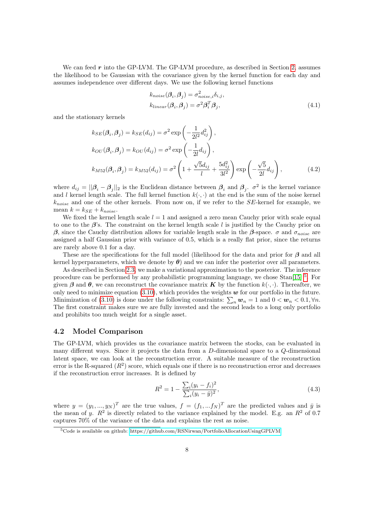We can feed  $r$  into the GP-LVM. The GP-LVM procedure, as described in Section [2,](#page-1-0) assumes the likelihood to be Gaussian with the covariance given by the kernel function for each day and assumes independence over different days. We use the following kernel functions

$$
k_{noise}(\beta_i, \beta_j) = \sigma_{noise,i}^2 \delta_{i,j},
$$
  
\n
$$
k_{linear}(\beta_i, \beta_j) = \sigma^2 \beta_i^T \beta_j,
$$
\n(4.1)

and the stationary kernels

$$
k_{SE}(\beta_i, \beta_j) = k_{SE}(d_{ij}) = \sigma^2 \exp\left(-\frac{1}{2l^2}d_{ij}^2\right),
$$
  
\n
$$
k_{OU}(\beta_i, \beta_j) = k_{OU}(d_{ij}) = \sigma^2 \exp\left(-\frac{1}{2l}d_{ij}\right),
$$
  
\n
$$
k_{M52}(\beta_i, \beta_j) = k_{M52}(d_{ij}) = \sigma^2 \left(1 + \frac{\sqrt{5}d_{ij}}{l} + \frac{5d_{ij}^2}{3l^2}\right) \exp\left(-\frac{\sqrt{5}}{2l}d_{ij}\right),
$$
\n(4.2)

where  $d_{ij} = ||\beta_i - \beta_j||_2$  is the Euclidean distance between  $\beta_i$  and  $\beta_j$ .  $\sigma^2$  is the kernel variance and l kernel length scale. The full kernel function  $k(\cdot, \cdot)$  at the end is the sum of the noise kernel  $k_{noise}$  and one of the other kernels. From now on, if we refer to the  $SE$ -kernel for example, we mean  $k = k_{SE} + k_{noise}$ .

We fixed the kernel length scale  $l = 1$  and assigned a zero mean Cauchy prior with scale equal to one to the  $\beta$ 's. The constraint on the kernel length scale l is justified by the Cauchy prior on β, since the Cauchy distribution allows for variable length scale in the β-space.  $\sigma$  and  $\sigma_{noise}$  are assigned a half Gaussian prior with variance of 0.5, which is a really flat prior, since the returns are rarely above 0.1 for a day.

These are the specifications for the full model (likelihood for the data and prior for  $\beta$  and all kernel hyperparameters, which we denote by  $\theta$ ) and we can infer the posterior over all parameters.

As described in Section [2.3,](#page-3-2) we make a variational approximation to the posterior. The inference procedure can be performed by any probabilistic programming language, we chose Stan<sup>[\[15\]](#page-12-14)</sup> <sup>[5](#page-7-0)</sup>. For given  $\beta$  and  $\theta$ , we can reconstruct the covariance matrix K by the function  $k(\cdot, \cdot)$ . Thereafter, we only need to minimize equation  $(3.10)$ , which provides the weights  $w$  for our portfolio in the future. Minimization of [\(3.10\)](#page-6-1) is done under the following constraints:  $\sum_n w_n = 1$  and  $0 < w_n < 0.1$ ,  $\forall n$ . The first constraint makes sure we are fully invested and the second leads to a long only portfolio and prohibits too much weight for a single asset.

#### 4.2 Model Comparison

The GP-LVM, which provides us the covariance matrix between the stocks, can be evaluated in many different ways. Since it projects the data from a D-dimensional space to a Q-dimensional latent space, we can look at the reconstruction error. A suitable measure of the reconstruction error is the R-squared  $(R^2)$  score, which equals one if there is no reconstruction error and decreases if the reconstruction error increases. It is defined by

$$
R^{2} = 1 - \frac{\sum_{i} (y_{i} - f_{i})^{2}}{\sum_{i} (y_{i} - \bar{y})^{2}},
$$
\n(4.3)

where  $y = (y_1, ..., y_N)^T$  are the true values,  $f = (f_1, ..., f_N)^T$  are the predicted values and  $\bar{y}$  is the mean of y.  $R^2$  is directly related to the variance explained by the model. E.g. an  $R^2$  of 0.7 captures 70% of the variance of the data and explains the rest as noise.

<span id="page-7-0"></span><sup>5</sup>Code is available on github: [https://github.com/RSNirwan/PortfolioAllocationUsingGPLVM.](https://github.com/RSNirwan/PortfolioAllocationUsingGPLVM)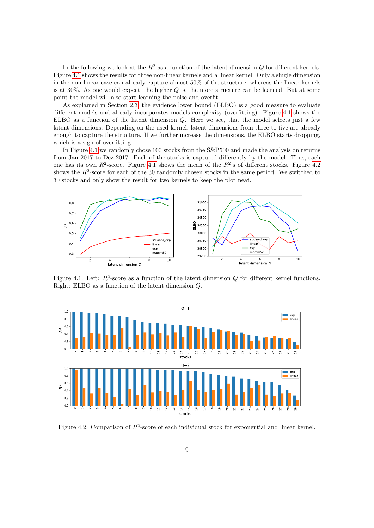In the following we look at the  $R^2$  as a function of the latent dimension Q for different kernels. Figure [4.1](#page-8-0) shows the results for three non-linear kernels and a linear kernel. Only a single dimension in the non-linear case can already capture almost 50% of the structure, whereas the linear kernels is at  $30\%$ . As one would expect, the higher  $Q$  is, the more structure can be learned. But at some point the model will also start learning the noise and overfit.

As explained in Section [2.3,](#page-3-2) the evidence lower bound (ELBO) is a good measure to evaluate different models and already incorporates models complexity (overfitting). Figure [4.1](#page-8-0) shows the ELBO as a function of the latent dimension Q. Here we see, that the model selects just a few latent dimensions. Depending on the used kernel, latent dimensions from three to five are already enough to capture the structure. If we further increase the dimensions, the ELBO starts dropping, which is a sign of overfitting.

In Figure [4.1](#page-8-0) we randomly chose 100 stocks from the S&P500 and made the analysis on returns from Jan 2017 to Dez 2017. Each of the stocks is captured differently by the model. Thus, each one has its own  $R^2$ -score. Figure [4.1](#page-8-0) shows the mean of the  $R^2$ 's of different stocks. Figure [4.2](#page-8-1) shows the  $R^2$ -score for each of the 30 randomly chosen stocks in the same period. We switched to 30 stocks and only show the result for two kernels to keep the plot neat.

<span id="page-8-0"></span>

Figure 4.1: Left:  $R^2$ -score as a function of the latent dimension Q for different kernel functions. Right: ELBO as a function of the latent dimension Q.

<span id="page-8-1"></span>

Figure 4.2: Comparison of  $R^2$ -score of each individual stock for exponential and linear kernel.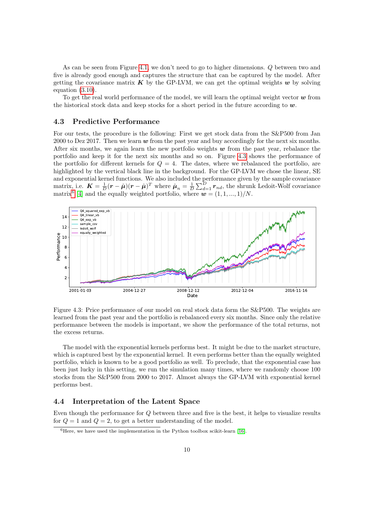As can be seen from Figure [4.1,](#page-8-0) we don't need to go to higher dimensions. Q between two and five is already good enough and captures the structure that can be captured by the model. After getting the covariance matrix  $\boldsymbol{K}$  by the GP-LVM, we can get the optimal weights  $\boldsymbol{w}$  by solving equation [\(3.10\)](#page-6-1).

To get the real world performance of the model, we will learn the optimal weight vector  $\boldsymbol{w}$  from the historical stock data and keep stocks for a short period in the future according to  $w$ .

### 4.3 Predictive Performance

For our tests, the procedure is the following: First we get stock data from the S&P500 from Jan 2000 to Dez 2017. Then we learn  $w$  from the past year and buy accordingly for the next six months. After six months, we again learn the new portfolio weights  $w$  from the past year, rebalance the portfolio and keep it for the next six months and so on. Figure [4.3](#page-9-0) shows the performance of the portfolio for different kernels for  $Q = 4$ . The dates, where we rebalanced the portfolio, are highlighted by the vertical black line in the background. For the GP-LVM we chose the linear, SE and exponential kernel functions. We also included the performance given by the sample covariance matrix, i.e.  $\mathbf{K} = \frac{1}{D}(\mathbf{r} - \hat{\boldsymbol{\mu}})(\mathbf{r} - \hat{\boldsymbol{\mu}})^T$  where  $\hat{\boldsymbol{\mu}}_n = \frac{1}{D} \sum_{d=1}^{D} \mathbf{r}_{nd}$ , the shrunk Ledoit-Wolf covariance matrix<sup>[6](#page-9-1)</sup> [\[4\]](#page-12-3) and the equally weighted portfolio, where  $\mathbf{w} = (1, 1, ..., 1)/N$ .

<span id="page-9-0"></span>

Figure 4.3: Price performance of our model on real stock data form the S&P500. The weights are learned from the past year and the portfolio is rebalanced every six months. Since only the relative performance between the models is important, we show the performance of the total returns, not the excess returns.

The model with the exponential kernels performs best. It might be due to the market structure, which is captured best by the exponential kernel. It even performs better than the equally weighted portfolio, which is known to be a good portfolio as well. To preclude, that the exponential case has been just lucky in this setting, we run the simulation many times, where we randomly choose 100 stocks from the S&P500 from 2000 to 2017. Almost always the GP-LVM with exponential kernel performs best.

### 4.4 Interpretation of the Latent Space

Even though the performance for Q between three and five is the best, it helps to visualize results for  $Q = 1$  and  $Q = 2$ , to get a better understanding of the model.

<span id="page-9-1"></span> ${}^{6}$ Here, we have used the implementation in the Python toolbox scikit-learn [\[16\]](#page-12-15).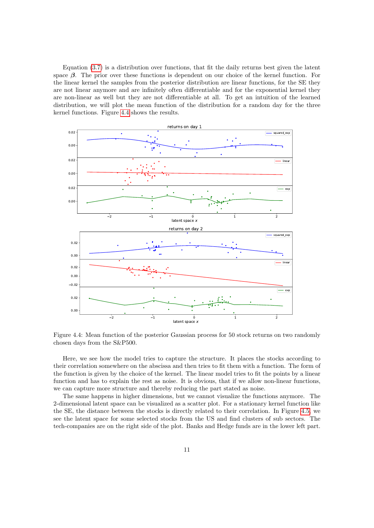Equation [\(3.7\)](#page-5-2) is a distribution over functions, that fit the daily returns best given the latent space  $\beta$ . The prior over these functions is dependent on our choice of the kernel function. For the linear kernel the samples from the posterior distribution are linear functions, for the SE they are not linear anymore and are infinitely often differentiable and for the exponential kernel they are non-linear as well but they are not differentiable at all. To get an intuition of the learned distribution, we will plot the mean function of the distribution for a random day for the three kernel functions. Figure [4.4](#page-10-0) shows the results.

<span id="page-10-0"></span>

Figure 4.4: Mean function of the posterior Gaussian process for 50 stock returns on two randomly chosen days from the S&P500.

Here, we see how the model tries to capture the structure. It places the stocks according to their correlation somewhere on the abscissa and then tries to fit them with a function. The form of the function is given by the choice of the kernel. The linear model tries to fit the points by a linear function and has to explain the rest as noise. It is obvious, that if we allow non-linear functions, we can capture more structure and thereby reducing the part stated as noise.

The same happens in higher dimensions, but we cannot visualize the functions anymore. The 2-dimensional latent space can be visualized as a scatter plot. For a stationary kernel function like the SE, the distance between the stocks is directly related to their correlation. In Figure [4.5,](#page-11-1) we see the latent space for some selected stocks from the US and find clusters of sub sectors. The tech-companies are on the right side of the plot. Banks and Hedge funds are in the lower left part.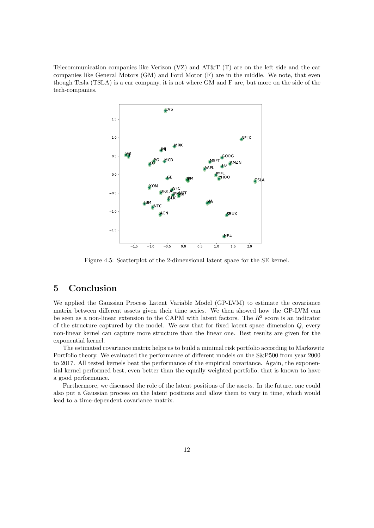<span id="page-11-1"></span>Telecommunication companies like Verizon (VZ) and AT&T (T) are on the left side and the car companies like General Motors (GM) and Ford Motor (F) are in the middle. We note, that even though Tesla (TSLA) is a car company, it is not where GM and F are, but more on the side of the tech-companies.



Figure 4.5: Scatterplot of the 2-dimensional latent space for the SE kernel.

### <span id="page-11-0"></span>5 Conclusion

We applied the Gaussian Process Latent Variable Model (GP-LVM) to estimate the covariance matrix between different assets given their time series. We then showed how the GP-LVM can be seen as a non-linear extension to the CAPM with latent factors. The  $R^2$  score is an indicator of the structure captured by the model. We saw that for fixed latent space dimension Q, every non-linear kernel can capture more structure than the linear one. Best results are given for the exponential kernel.

The estimated covariance matrix helps us to build a minimal risk portfolio according to Markowitz Portfolio theory. We evaluated the performance of different models on the S&P500 from year 2000 to 2017. All tested kernels beat the performance of the empirical covariance. Again, the exponential kernel performed best, even better than the equally weighted portfolio, that is known to have a good performance.

Furthermore, we discussed the role of the latent positions of the assets. In the future, one could also put a Gaussian process on the latent positions and allow them to vary in time, which would lead to a time-dependent covariance matrix.